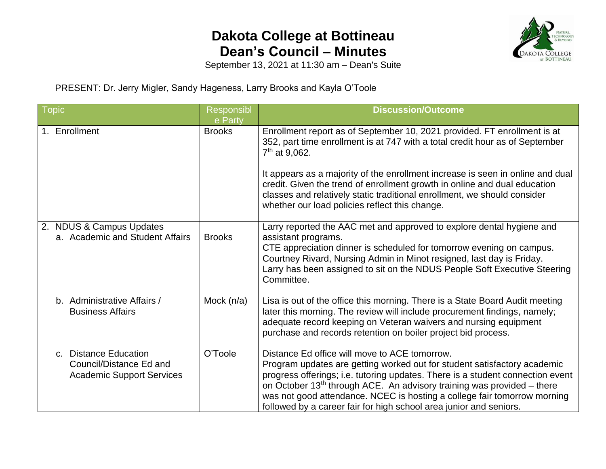## **Dakota College at Bottineau Dean's Council – Minutes**



September 13, 2021 at 11:30 am – Dean's Suite

PRESENT: Dr. Jerry Migler, Sandy Hageness, Larry Brooks and Kayla O'Toole

| <b>Topic</b>                                                                         | Responsibl<br>e Party | <b>Discussion/Outcome</b>                                                                                                                                                                                                                                                                                                                                                                                                                 |  |
|--------------------------------------------------------------------------------------|-----------------------|-------------------------------------------------------------------------------------------------------------------------------------------------------------------------------------------------------------------------------------------------------------------------------------------------------------------------------------------------------------------------------------------------------------------------------------------|--|
| 1. Enrollment                                                                        | <b>Brooks</b>         | Enrollment report as of September 10, 2021 provided. FT enrollment is at<br>352, part time enrollment is at 747 with a total credit hour as of September<br>$7th$ at 9,062.                                                                                                                                                                                                                                                               |  |
|                                                                                      |                       | It appears as a majority of the enrollment increase is seen in online and dual<br>credit. Given the trend of enrollment growth in online and dual education<br>classes and relatively static traditional enrollment, we should consider<br>whether our load policies reflect this change.                                                                                                                                                 |  |
| 2. NDUS & Campus Updates<br>a. Academic and Student Affairs                          | <b>Brooks</b>         | Larry reported the AAC met and approved to explore dental hygiene and<br>assistant programs.<br>CTE appreciation dinner is scheduled for tomorrow evening on campus.<br>Courtney Rivard, Nursing Admin in Minot resigned, last day is Friday.<br>Larry has been assigned to sit on the NDUS People Soft Executive Steering<br>Committee.                                                                                                  |  |
| b. Administrative Affairs /<br><b>Business Affairs</b>                               | Mock (n/a)            | Lisa is out of the office this morning. There is a State Board Audit meeting<br>later this morning. The review will include procurement findings, namely;<br>adequate record keeping on Veteran waivers and nursing equipment<br>purchase and records retention on boiler project bid process.                                                                                                                                            |  |
| c. Distance Education<br>Council/Distance Ed and<br><b>Academic Support Services</b> | O'Toole               | Distance Ed office will move to ACE tomorrow.<br>Program updates are getting worked out for student satisfactory academic<br>progress offerings; i.e. tutoring updates. There is a student connection event<br>on October $13th$ through ACE. An advisory training was provided – there<br>was not good attendance. NCEC is hosting a college fair tomorrow morning<br>followed by a career fair for high school area junior and seniors. |  |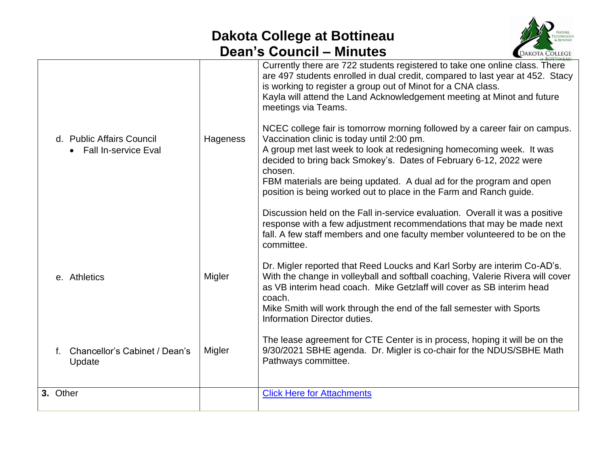## **Dakota College at Bottineau Dean's Council – Minutes**



|                                                          |          | Currently there are 722 students registered to take one online class. There<br>are 497 students enrolled in dual credit, compared to last year at 452. Stacy<br>is working to register a group out of Minot for a CNA class.<br>Kayla will attend the Land Acknowledgement meeting at Minot and future<br>meetings via Teams.                           |
|----------------------------------------------------------|----------|---------------------------------------------------------------------------------------------------------------------------------------------------------------------------------------------------------------------------------------------------------------------------------------------------------------------------------------------------------|
| d. Public Affairs Council<br><b>Fall In-service Eval</b> | Hageness | NCEC college fair is tomorrow morning followed by a career fair on campus.<br>Vaccination clinic is today until 2:00 pm.<br>A group met last week to look at redesigning homecoming week. It was<br>decided to bring back Smokey's. Dates of February 6-12, 2022 were<br>chosen.<br>FBM materials are being updated. A dual ad for the program and open |
|                                                          |          | position is being worked out to place in the Farm and Ranch guide.                                                                                                                                                                                                                                                                                      |
|                                                          |          | Discussion held on the Fall in-service evaluation. Overall it was a positive<br>response with a few adjustment recommendations that may be made next<br>fall. A few staff members and one faculty member volunteered to be on the<br>committee.                                                                                                         |
| e. Athletics                                             | Migler   | Dr. Migler reported that Reed Loucks and Karl Sorby are interim Co-AD's.<br>With the change in volleyball and softball coaching, Valerie Rivera will cover<br>as VB interim head coach. Mike Getzlaff will cover as SB interim head<br>coach.<br>Mike Smith will work through the end of the fall semester with Sports<br>Information Director duties.  |
| Chancellor's Cabinet / Dean's<br>Update                  | Migler   | The lease agreement for CTE Center is in process, hoping it will be on the<br>9/30/2021 SBHE agenda. Dr. Migler is co-chair for the NDUS/SBHE Math<br>Pathways committee.                                                                                                                                                                               |
| 3. Other                                                 |          | <b>Click Here for Attachments</b>                                                                                                                                                                                                                                                                                                                       |